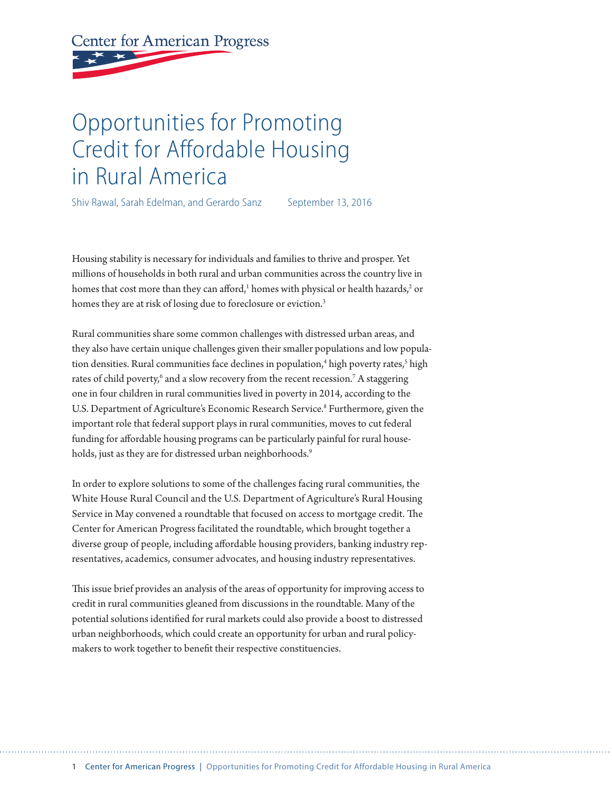# **Center for American Progress**

# Opportunities for Promoting Credit for Affordable Housing in Rural America

Shiv Rawal, Sarah Edelman, and Gerardo Sanz September 13, 2016

Housing stability is necessary for individuals and families to thrive and prosper. Yet millions of households in both rural and urban communities across the country live in homes that cost more than they can afford, $^1$  homes with physical or health hazards, $^2$  or homes they are at risk of losing due to foreclosure or eviction.<sup>3</sup>

Rural communities share some common challenges with distressed urban areas, and they also have certain unique challenges given their smaller populations and low population densities. Rural communities face declines in population,<sup>4</sup> high poverty rates,<sup>5</sup> high rates of child poverty,<sup>6</sup> and a slow recovery from the recent recession.<sup>7</sup> A staggering one in four children in rural communities lived in poverty in 2014, according to the U.S. Department of Agriculture's Economic Research Service.<sup>8</sup> Furthermore, given the important role that federal support plays in rural communities, moves to cut federal funding for affordable housing programs can be particularly painful for rural households, just as they are for distressed urban neighborhoods.<sup>9</sup>

In order to explore solutions to some of the challenges facing rural communities, the White House Rural Council and the U.S. Department of Agriculture's Rural Housing Service in May convened a roundtable that focused on access to mortgage credit. The Center for American Progress facilitated the roundtable, which brought together a diverse group of people, including affordable housing providers, banking industry representatives, academics, consumer advocates, and housing industry representatives.

This issue brief provides an analysis of the areas of opportunity for improving access to credit in rural communities gleaned from discussions in the roundtable. Many of the potential solutions identified for rural markets could also provide a boost to distressed urban neighborhoods, which could create an opportunity for urban and rural policymakers to work together to benefit their respective constituencies.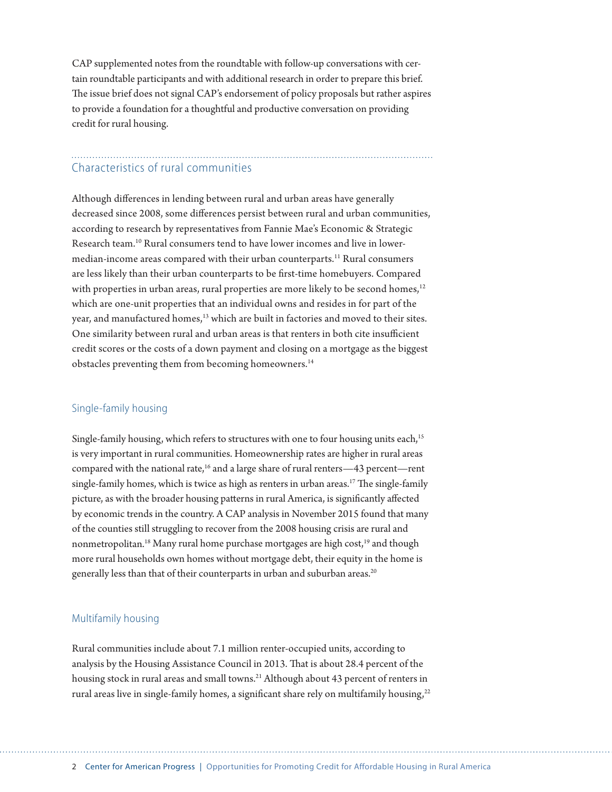CAP supplemented notes from the roundtable with follow-up conversations with certain roundtable participants and with additional research in order to prepare this brief. The issue brief does not signal CAP's endorsement of policy proposals but rather aspires to provide a foundation for a thoughtful and productive conversation on providing credit for rural housing.

### Characteristics of rural communities

Although differences in lending between rural and urban areas have generally decreased since 2008, some differences persist between rural and urban communities, according to research by representatives from Fannie Mae's Economic & Strategic Research team.10 Rural consumers tend to have lower incomes and live in lowermedian-income areas compared with their urban counterparts.<sup>11</sup> Rural consumers are less likely than their urban counterparts to be first-time homebuyers. Compared with properties in urban areas, rural properties are more likely to be second homes, $12$ which are one-unit properties that an individual owns and resides in for part of the year, and manufactured homes,<sup>13</sup> which are built in factories and moved to their sites. One similarity between rural and urban areas is that renters in both cite insufficient credit scores or the costs of a down payment and closing on a mortgage as the biggest obstacles preventing them from becoming homeowners.<sup>14</sup>

#### Single-family housing

Single-family housing, which refers to structures with one to four housing units each,<sup>15</sup> is very important in rural communities. Homeownership rates are higher in rural areas compared with the national rate,<sup>16</sup> and a large share of rural renters—43 percent—rent single-family homes, which is twice as high as renters in urban areas.<sup>17</sup> The single-family picture, as with the broader housing patterns in rural America, is significantly affected by economic trends in the country. A CAP analysis in November 2015 found that many of the counties still struggling to recover from the 2008 housing crisis are rural and nonmetropolitan.<sup>18</sup> Many rural home purchase mortgages are high cost,<sup>19</sup> and though more rural households own homes without mortgage debt, their equity in the home is generally less than that of their counterparts in urban and suburban areas.<sup>20</sup>

#### Multifamily housing

Rural communities include about 7.1 million renter-occupied units, according to analysis by the Housing Assistance Council in 2013. That is about 28.4 percent of the housing stock in rural areas and small towns.<sup>21</sup> Although about 43 percent of renters in rural areas live in single-family homes, a significant share rely on multifamily housing, $22$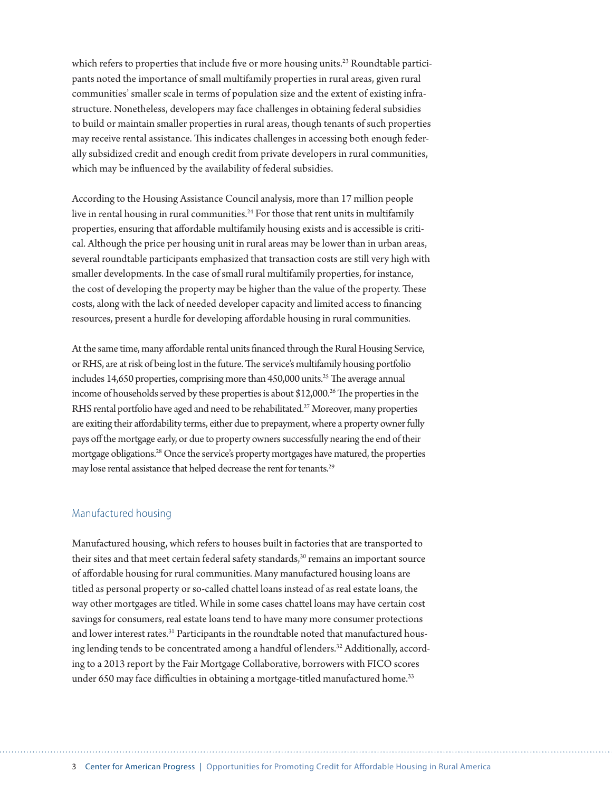which refers to properties that include five or more housing units.<sup>23</sup> Roundtable participants noted the importance of small multifamily properties in rural areas, given rural communities' smaller scale in terms of population size and the extent of existing infrastructure. Nonetheless, developers may face challenges in obtaining federal subsidies to build or maintain smaller properties in rural areas, though tenants of such properties may receive rental assistance. This indicates challenges in accessing both enough federally subsidized credit and enough credit from private developers in rural communities, which may be influenced by the availability of federal subsidies.

According to the Housing Assistance Council analysis, more than 17 million people live in rental housing in rural communities.<sup>24</sup> For those that rent units in multifamily properties, ensuring that affordable multifamily housing exists and is accessible is critical. Although the price per housing unit in rural areas may be lower than in urban areas, several roundtable participants emphasized that transaction costs are still very high with smaller developments. In the case of small rural multifamily properties, for instance, the cost of developing the property may be higher than the value of the property. These costs, along with the lack of needed developer capacity and limited access to financing resources, present a hurdle for developing affordable housing in rural communities.

At the same time, many affordable rental units financed through the Rural Housing Service, or RHS, are at risk of being lost in the future. The service's multifamily housing portfolio includes 14,650 properties, comprising more than  $450,000$  units.<sup>25</sup> The average annual income of households served by these properties is about \$12,000.<sup>26</sup> The properties in the RHS rental portfolio have aged and need to be rehabilitated.<sup>27</sup> Moreover, many properties are exiting their affordability terms, either due to prepayment, where a property owner fully pays off the mortgage early, or due to property owners successfully nearing the end of their mortgage obligations.28 Once the service's property mortgages have matured, the properties may lose rental assistance that helped decrease the rent for tenants.<sup>29</sup>

#### Manufactured housing

Manufactured housing, which refers to houses built in factories that are transported to their sites and that meet certain federal safety standards,<sup>30</sup> remains an important source of affordable housing for rural communities. Many manufactured housing loans are titled as personal property or so-called chattel loans instead of as real estate loans, the way other mortgages are titled. While in some cases chattel loans may have certain cost savings for consumers, real estate loans tend to have many more consumer protections and lower interest rates.<sup>31</sup> Participants in the roundtable noted that manufactured housing lending tends to be concentrated among a handful of lenders.<sup>32</sup> Additionally, according to a 2013 report by the Fair Mortgage Collaborative, borrowers with FICO scores under 650 may face difficulties in obtaining a mortgage-titled manufactured home.<sup>33</sup>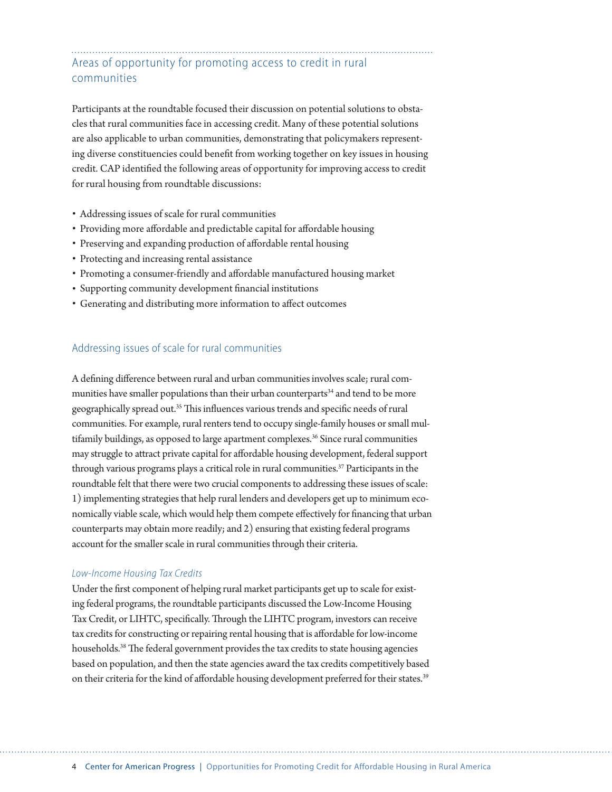# Areas of opportunity for promoting access to credit in rural communities

Participants at the roundtable focused their discussion on potential solutions to obstacles that rural communities face in accessing credit. Many of these potential solutions are also applicable to urban communities, demonstrating that policymakers representing diverse constituencies could benefit from working together on key issues in housing credit. CAP identified the following areas of opportunity for improving access to credit for rural housing from roundtable discussions:

- Addressing issues of scale for rural communities
- Providing more affordable and predictable capital for affordable housing
- Preserving and expanding production of affordable rental housing
- Protecting and increasing rental assistance
- Promoting a consumer-friendly and affordable manufactured housing market
- Supporting community development financial institutions
- Generating and distributing more information to affect outcomes

#### Addressing issues of scale for rural communities

A defining difference between rural and urban communities involves scale; rural communities have smaller populations than their urban counterparts<sup>34</sup> and tend to be more geographically spread out.35 This influences various trends and specific needs of rural communities. For example, rural renters tend to occupy single-family houses or small multifamily buildings, as opposed to large apartment complexes.<sup>36</sup> Since rural communities may struggle to attract private capital for affordable housing development, federal support through various programs plays a critical role in rural communities.<sup>37</sup> Participants in the roundtable felt that there were two crucial components to addressing these issues of scale: 1) implementing strategies that help rural lenders and developers get up to minimum economically viable scale, which would help them compete effectively for financing that urban counterparts may obtain more readily; and 2) ensuring that existing federal programs account for the smaller scale in rural communities through their criteria.

#### *Low-Income Housing Tax Credits*

Under the first component of helping rural market participants get up to scale for existing federal programs, the roundtable participants discussed the Low-Income Housing Tax Credit, or LIHTC, specifically. Through the LIHTC program, investors can receive tax credits for constructing or repairing rental housing that is affordable for low-income households.<sup>38</sup> The federal government provides the tax credits to state housing agencies based on population, and then the state agencies award the tax credits competitively based on their criteria for the kind of affordable housing development preferred for their states.<sup>39</sup>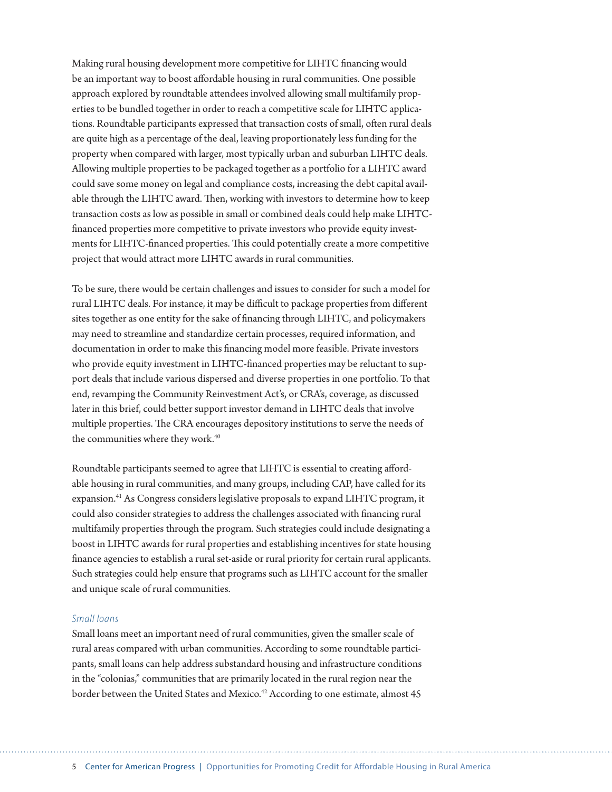Making rural housing development more competitive for LIHTC financing would be an important way to boost affordable housing in rural communities. One possible approach explored by roundtable attendees involved allowing small multifamily properties to be bundled together in order to reach a competitive scale for LIHTC applications. Roundtable participants expressed that transaction costs of small, often rural deals are quite high as a percentage of the deal, leaving proportionately less funding for the property when compared with larger, most typically urban and suburban LIHTC deals. Allowing multiple properties to be packaged together as a portfolio for a LIHTC award could save some money on legal and compliance costs, increasing the debt capital available through the LIHTC award. Then, working with investors to determine how to keep transaction costs as low as possible in small or combined deals could help make LIHTCfinanced properties more competitive to private investors who provide equity investments for LIHTC-financed properties. This could potentially create a more competitive project that would attract more LIHTC awards in rural communities.

To be sure, there would be certain challenges and issues to consider for such a model for rural LIHTC deals. For instance, it may be difficult to package properties from different sites together as one entity for the sake of financing through LIHTC, and policymakers may need to streamline and standardize certain processes, required information, and documentation in order to make this financing model more feasible. Private investors who provide equity investment in LIHTC-financed properties may be reluctant to support deals that include various dispersed and diverse properties in one portfolio. To that end, revamping the Community Reinvestment Act's, or CRA's, coverage, as discussed later in this brief, could better support investor demand in LIHTC deals that involve multiple properties. The CRA encourages depository institutions to serve the needs of the communities where they work.<sup>40</sup>

Roundtable participants seemed to agree that LIHTC is essential to creating affordable housing in rural communities, and many groups, including CAP, have called for its expansion.41 As Congress considers legislative proposals to expand LIHTC program, it could also consider strategies to address the challenges associated with financing rural multifamily properties through the program. Such strategies could include designating a boost in LIHTC awards for rural properties and establishing incentives for state housing finance agencies to establish a rural set-aside or rural priority for certain rural applicants. Such strategies could help ensure that programs such as LIHTC account for the smaller and unique scale of rural communities.

#### *Small loans*

Small loans meet an important need of rural communities, given the smaller scale of rural areas compared with urban communities. According to some roundtable participants, small loans can help address substandard housing and infrastructure conditions in the "colonias," communities that are primarily located in the rural region near the border between the United States and Mexico.<sup>42</sup> According to one estimate, almost 45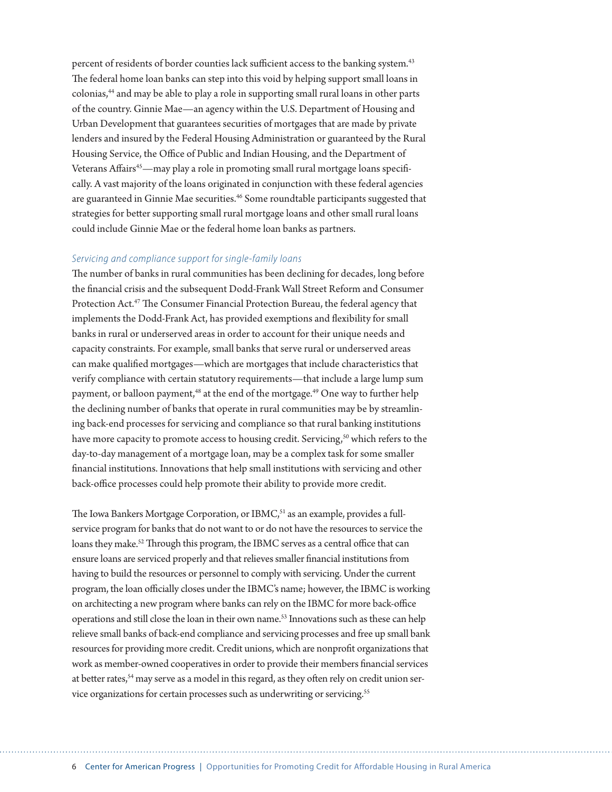percent of residents of border counties lack sufficient access to the banking system.<sup>43</sup> The federal home loan banks can step into this void by helping support small loans in colonias,44 and may be able to play a role in supporting small rural loans in other parts of the country. Ginnie Mae—an agency within the U.S. Department of Housing and Urban Development that guarantees securities of mortgages that are made by private lenders and insured by the Federal Housing Administration or guaranteed by the Rural Housing Service, the Office of Public and Indian Housing, and the Department of Veterans Affairs<sup>45</sup>—may play a role in promoting small rural mortgage loans specifically. A vast majority of the loans originated in conjunction with these federal agencies are guaranteed in Ginnie Mae securities.<sup>46</sup> Some roundtable participants suggested that strategies for better supporting small rural mortgage loans and other small rural loans could include Ginnie Mae or the federal home loan banks as partners.

#### *Servicing and compliance support for single-family loans*

The number of banks in rural communities has been declining for decades, long before the financial crisis and the subsequent Dodd-Frank Wall Street Reform and Consumer Protection Act.47 The Consumer Financial Protection Bureau, the federal agency that implements the Dodd-Frank Act, has provided exemptions and flexibility for small banks in rural or underserved areas in order to account for their unique needs and capacity constraints. For example, small banks that serve rural or underserved areas can make qualified mortgages—which are mortgages that include characteristics that verify compliance with certain statutory requirements—that include a large lump sum payment, or balloon payment,<sup>48</sup> at the end of the mortgage.<sup>49</sup> One way to further help the declining number of banks that operate in rural communities may be by streamlining back-end processes for servicing and compliance so that rural banking institutions have more capacity to promote access to housing credit. Servicing,<sup>50</sup> which refers to the day-to-day management of a mortgage loan, may be a complex task for some smaller financial institutions. Innovations that help small institutions with servicing and other back-office processes could help promote their ability to provide more credit.

The Iowa Bankers Mortgage Corporation, or IBMC,<sup>51</sup> as an example, provides a fullservice program for banks that do not want to or do not have the resources to service the loans they make.<sup>52</sup> Through this program, the IBMC serves as a central office that can ensure loans are serviced properly and that relieves smaller financial institutions from having to build the resources or personnel to comply with servicing. Under the current program, the loan officially closes under the IBMC's name; however, the IBMC is working on architecting a new program where banks can rely on the IBMC for more back-office operations and still close the loan in their own name.<sup>53</sup> Innovations such as these can help relieve small banks of back-end compliance and servicing processes and free up small bank resources for providing more credit. Credit unions, which are nonprofit organizations that work as member-owned cooperatives in order to provide their members financial services at better rates,<sup>54</sup> may serve as a model in this regard, as they often rely on credit union service organizations for certain processes such as underwriting or servicing.<sup>55</sup>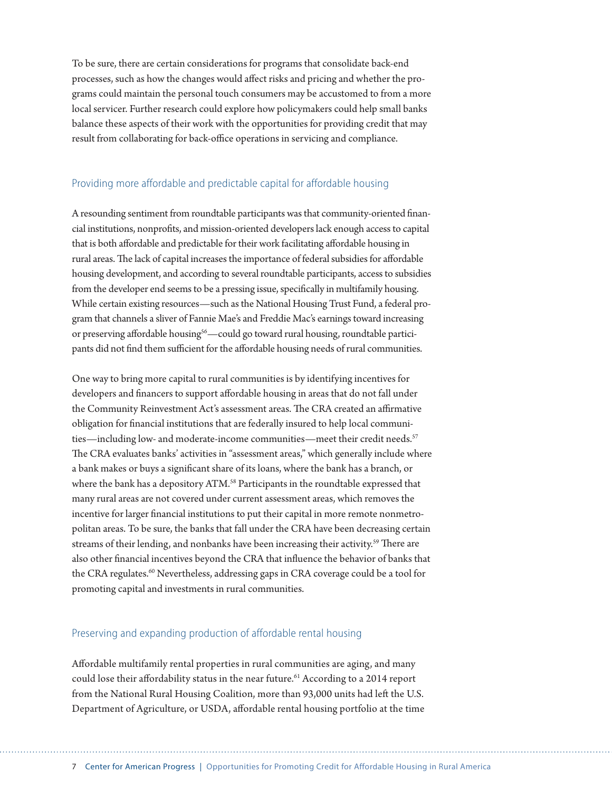To be sure, there are certain considerations for programs that consolidate back-end processes, such as how the changes would affect risks and pricing and whether the programs could maintain the personal touch consumers may be accustomed to from a more local servicer. Further research could explore how policymakers could help small banks balance these aspects of their work with the opportunities for providing credit that may result from collaborating for back-office operations in servicing and compliance.

#### Providing more affordable and predictable capital for affordable housing

A resounding sentiment from roundtable participants was that community-oriented financial institutions, nonprofits, and mission-oriented developers lack enough access to capital that is both affordable and predictable for their work facilitating affordable housing in rural areas. The lack of capital increases the importance of federal subsidies for affordable housing development, and according to several roundtable participants, access to subsidies from the developer end seems to be a pressing issue, specifically in multifamily housing. While certain existing resources—such as the National Housing Trust Fund, a federal program that channels a sliver of Fannie Mae's and Freddie Mac's earnings toward increasing or preserving affordable housing<sup>56</sup>—could go toward rural housing, roundtable participants did not find them sufficient for the affordable housing needs of rural communities.

One way to bring more capital to rural communities is by identifying incentives for developers and financers to support affordable housing in areas that do not fall under the Community Reinvestment Act's assessment areas. The CRA created an affirmative obligation for financial institutions that are federally insured to help local communities—including low- and moderate-income communities—meet their credit needs.<sup>57</sup> The CRA evaluates banks' activities in "assessment areas," which generally include where a bank makes or buys a significant share of its loans, where the bank has a branch, or where the bank has a depository ATM.<sup>58</sup> Participants in the roundtable expressed that many rural areas are not covered under current assessment areas, which removes the incentive for larger financial institutions to put their capital in more remote nonmetropolitan areas. To be sure, the banks that fall under the CRA have been decreasing certain streams of their lending, and nonbanks have been increasing their activity.<sup>59</sup> There are also other financial incentives beyond the CRA that influence the behavior of banks that the CRA regulates.<sup>60</sup> Nevertheless, addressing gaps in CRA coverage could be a tool for promoting capital and investments in rural communities.

#### Preserving and expanding production of affordable rental housing

Affordable multifamily rental properties in rural communities are aging, and many could lose their affordability status in the near future.<sup>61</sup> According to a 2014 report from the National Rural Housing Coalition, more than 93,000 units had left the U.S. Department of Agriculture, or USDA, affordable rental housing portfolio at the time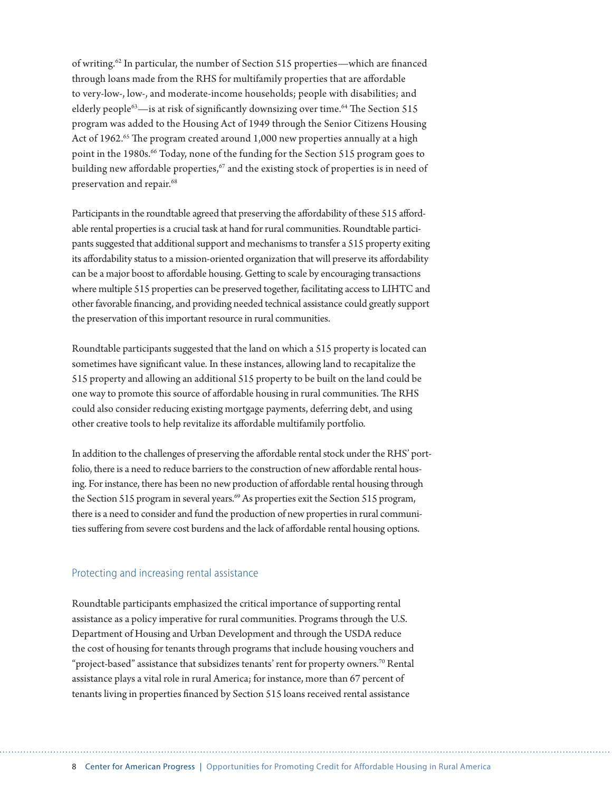of writing.62 In particular, the number of Section 515 properties—which are financed through loans made from the RHS for multifamily properties that are affordable to very-low-, low-, and moderate-income households; people with disabilities; and elderly people<sup>63</sup>—is at risk of significantly downsizing over time.<sup>64</sup> The Section 515 program was added to the Housing Act of 1949 through the Senior Citizens Housing Act of 1962.<sup>65</sup> The program created around 1,000 new properties annually at a high point in the 1980s.<sup>66</sup> Today, none of the funding for the Section 515 program goes to building new affordable properties, $67$  and the existing stock of properties is in need of preservation and repair.<sup>68</sup>

Participants in the roundtable agreed that preserving the affordability of these 515 affordable rental properties is a crucial task at hand for rural communities. Roundtable participants suggested that additional support and mechanisms to transfer a 515 property exiting its affordability status to a mission-oriented organization that will preserve its affordability can be a major boost to affordable housing. Getting to scale by encouraging transactions where multiple 515 properties can be preserved together, facilitating access to LIHTC and other favorable financing, and providing needed technical assistance could greatly support the preservation of this important resource in rural communities.

Roundtable participants suggested that the land on which a 515 property is located can sometimes have significant value. In these instances, allowing land to recapitalize the 515 property and allowing an additional 515 property to be built on the land could be one way to promote this source of affordable housing in rural communities. The RHS could also consider reducing existing mortgage payments, deferring debt, and using other creative tools to help revitalize its affordable multifamily portfolio.

In addition to the challenges of preserving the affordable rental stock under the RHS' portfolio, there is a need to reduce barriers to the construction of new affordable rental housing. For instance, there has been no new production of affordable rental housing through the Section 515 program in several years.<sup>69</sup> As properties exit the Section 515 program, there is a need to consider and fund the production of new properties in rural communities suffering from severe cost burdens and the lack of affordable rental housing options.

#### Protecting and increasing rental assistance

Roundtable participants emphasized the critical importance of supporting rental assistance as a policy imperative for rural communities. Programs through the U.S. Department of Housing and Urban Development and through the USDA reduce the cost of housing for tenants through programs that include housing vouchers and "project-based" assistance that subsidizes tenants' rent for property owners.<sup>70</sup> Rental assistance plays a vital role in rural America; for instance, more than 67 percent of tenants living in properties financed by Section 515 loans received rental assistance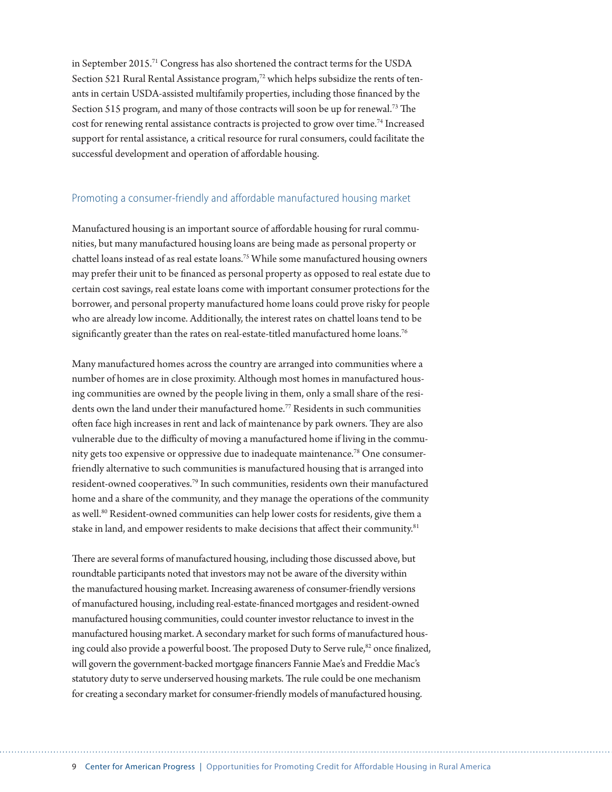in September 2015.71 Congress has also shortened the contract terms for the USDA Section 521 Rural Rental Assistance program,<sup>72</sup> which helps subsidize the rents of tenants in certain USDA-assisted multifamily properties, including those financed by the Section 515 program, and many of those contracts will soon be up for renewal.73 The cost for renewing rental assistance contracts is projected to grow over time.74 Increased support for rental assistance, a critical resource for rural consumers, could facilitate the successful development and operation of affordable housing.

#### Promoting a consumer-friendly and affordable manufactured housing market

Manufactured housing is an important source of affordable housing for rural communities, but many manufactured housing loans are being made as personal property or chattel loans instead of as real estate loans.<sup>75</sup> While some manufactured housing owners may prefer their unit to be financed as personal property as opposed to real estate due to certain cost savings, real estate loans come with important consumer protections for the borrower, and personal property manufactured home loans could prove risky for people who are already low income. Additionally, the interest rates on chattel loans tend to be significantly greater than the rates on real-estate-titled manufactured home loans.<sup>76</sup>

Many manufactured homes across the country are arranged into communities where a number of homes are in close proximity. Although most homes in manufactured housing communities are owned by the people living in them, only a small share of the residents own the land under their manufactured home.77 Residents in such communities often face high increases in rent and lack of maintenance by park owners. They are also vulnerable due to the difficulty of moving a manufactured home if living in the community gets too expensive or oppressive due to inadequate maintenance.78 One consumerfriendly alternative to such communities is manufactured housing that is arranged into resident-owned cooperatives.79 In such communities, residents own their manufactured home and a share of the community, and they manage the operations of the community as well.<sup>80</sup> Resident-owned communities can help lower costs for residents, give them a stake in land, and empower residents to make decisions that affect their community.<sup>81</sup>

There are several forms of manufactured housing, including those discussed above, but roundtable participants noted that investors may not be aware of the diversity within the manufactured housing market. Increasing awareness of consumer-friendly versions of manufactured housing, including real-estate-financed mortgages and resident-owned manufactured housing communities, could counter investor reluctance to invest in the manufactured housing market. A secondary market for such forms of manufactured housing could also provide a powerful boost. The proposed Duty to Serve rule,<sup>82</sup> once finalized, will govern the government-backed mortgage financers Fannie Mae's and Freddie Mac's statutory duty to serve underserved housing markets. The rule could be one mechanism for creating a secondary market for consumer-friendly models of manufactured housing.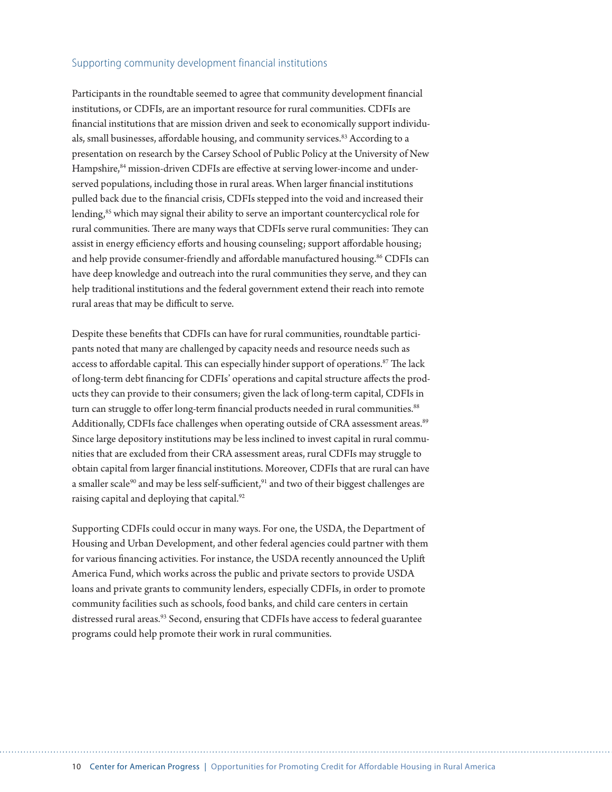#### Supporting community development financial institutions

Participants in the roundtable seemed to agree that community development financial institutions, or CDFIs, are an important resource for rural communities. CDFIs are financial institutions that are mission driven and seek to economically support individuals, small businesses, affordable housing, and community services.<sup>83</sup> According to a presentation on research by the Carsey School of Public Policy at the University of New Hampshire,<sup>84</sup> mission-driven CDFIs are effective at serving lower-income and underserved populations, including those in rural areas. When larger financial institutions pulled back due to the financial crisis, CDFIs stepped into the void and increased their lending,<sup>85</sup> which may signal their ability to serve an important countercyclical role for rural communities. There are many ways that CDFIs serve rural communities: They can assist in energy efficiency efforts and housing counseling; support affordable housing; and help provide consumer-friendly and affordable manufactured housing.<sup>86</sup> CDFIs can have deep knowledge and outreach into the rural communities they serve, and they can help traditional institutions and the federal government extend their reach into remote rural areas that may be difficult to serve.

Despite these benefits that CDFIs can have for rural communities, roundtable participants noted that many are challenged by capacity needs and resource needs such as access to affordable capital. This can especially hinder support of operations.<sup>87</sup> The lack of long-term debt financing for CDFIs' operations and capital structure affects the products they can provide to their consumers; given the lack of long-term capital, CDFIs in turn can struggle to offer long-term financial products needed in rural communities.<sup>88</sup> Additionally, CDFIs face challenges when operating outside of CRA assessment areas.<sup>89</sup> Since large depository institutions may be less inclined to invest capital in rural communities that are excluded from their CRA assessment areas, rural CDFIs may struggle to obtain capital from larger financial institutions. Moreover, CDFIs that are rural can have a smaller scale<sup>90</sup> and may be less self-sufficient,<sup>91</sup> and two of their biggest challenges are raising capital and deploying that capital.<sup>92</sup>

Supporting CDFIs could occur in many ways. For one, the USDA, the Department of Housing and Urban Development, and other federal agencies could partner with them for various financing activities. For instance, the USDA recently announced the Uplift America Fund, which works across the public and private sectors to provide USDA loans and private grants to community lenders, especially CDFIs, in order to promote community facilities such as schools, food banks, and child care centers in certain distressed rural areas.<sup>93</sup> Second, ensuring that CDFIs have access to federal guarantee programs could help promote their work in rural communities.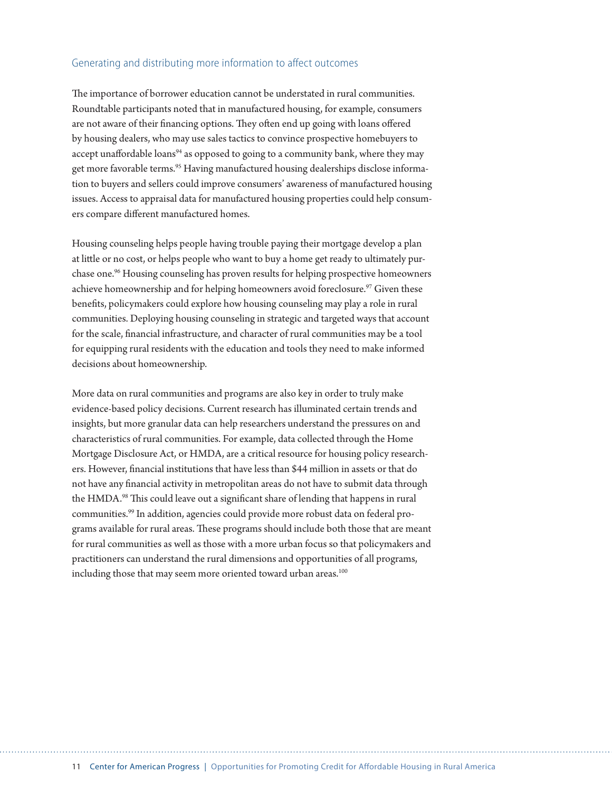#### Generating and distributing more information to affect outcomes

The importance of borrower education cannot be understated in rural communities. Roundtable participants noted that in manufactured housing, for example, consumers are not aware of their financing options. They often end up going with loans offered by housing dealers, who may use sales tactics to convince prospective homebuyers to accept unaffordable loans<sup>94</sup> as opposed to going to a community bank, where they may get more favorable terms.<sup>95</sup> Having manufactured housing dealerships disclose information to buyers and sellers could improve consumers' awareness of manufactured housing issues. Access to appraisal data for manufactured housing properties could help consumers compare different manufactured homes.

Housing counseling helps people having trouble paying their mortgage develop a plan at little or no cost, or helps people who want to buy a home get ready to ultimately purchase one.96 Housing counseling has proven results for helping prospective homeowners achieve homeownership and for helping homeowners avoid foreclosure.<sup>97</sup> Given these benefits, policymakers could explore how housing counseling may play a role in rural communities. Deploying housing counseling in strategic and targeted ways that account for the scale, financial infrastructure, and character of rural communities may be a tool for equipping rural residents with the education and tools they need to make informed decisions about homeownership.

More data on rural communities and programs are also key in order to truly make evidence-based policy decisions. Current research has illuminated certain trends and insights, but more granular data can help researchers understand the pressures on and characteristics of rural communities. For example, data collected through the Home Mortgage Disclosure Act, or HMDA, are a critical resource for housing policy researchers. However, financial institutions that have less than \$44 million in assets or that do not have any financial activity in metropolitan areas do not have to submit data through the HMDA.<sup>98</sup> This could leave out a significant share of lending that happens in rural communities.99 In addition, agencies could provide more robust data on federal programs available for rural areas. These programs should include both those that are meant for rural communities as well as those with a more urban focus so that policymakers and practitioners can understand the rural dimensions and opportunities of all programs, including those that may seem more oriented toward urban areas.<sup>100</sup>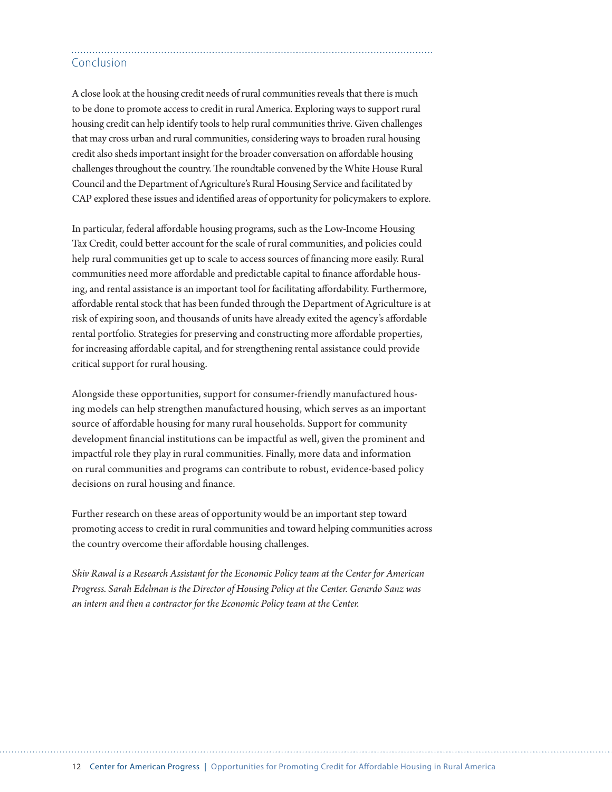## Conclusion

A close look at the housing credit needs of rural communities reveals that there is much to be done to promote access to credit in rural America. Exploring ways to support rural housing credit can help identify tools to help rural communities thrive. Given challenges that may cross urban and rural communities, considering ways to broaden rural housing credit also sheds important insight for the broader conversation on affordable housing challenges throughout the country. The roundtable convened by the White House Rural Council and the Department of Agriculture's Rural Housing Service and facilitated by CAP explored these issues and identified areas of opportunity for policymakers to explore.

In particular, federal affordable housing programs, such as the Low-Income Housing Tax Credit, could better account for the scale of rural communities, and policies could help rural communities get up to scale to access sources of financing more easily. Rural communities need more affordable and predictable capital to finance affordable housing, and rental assistance is an important tool for facilitating affordability. Furthermore, affordable rental stock that has been funded through the Department of Agriculture is at risk of expiring soon, and thousands of units have already exited the agency's affordable rental portfolio. Strategies for preserving and constructing more affordable properties, for increasing affordable capital, and for strengthening rental assistance could provide critical support for rural housing.

Alongside these opportunities, support for consumer-friendly manufactured housing models can help strengthen manufactured housing, which serves as an important source of affordable housing for many rural households. Support for community development financial institutions can be impactful as well, given the prominent and impactful role they play in rural communities. Finally, more data and information on rural communities and programs can contribute to robust, evidence-based policy decisions on rural housing and finance.

Further research on these areas of opportunity would be an important step toward promoting access to credit in rural communities and toward helping communities across the country overcome their affordable housing challenges.

*Shiv Rawal is a Research Assistant for the Economic Policy team at the Center for American Progress. Sarah Edelman is the Director of Housing Policy at the Center. Gerardo Sanz was an intern and then a contractor for the Economic Policy team at the Center.*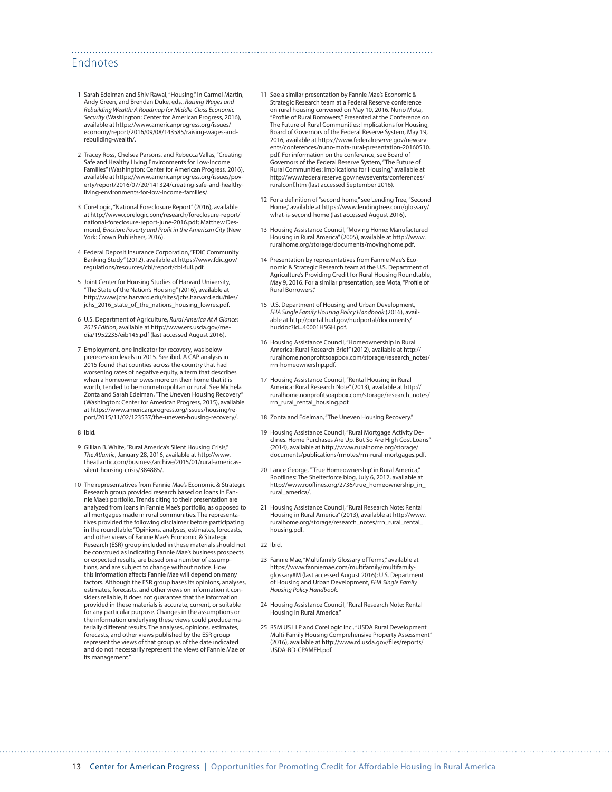#### Endnotes

- 1 Sarah Edelman and Shiv Rawal, "Housing." In Carmel Martin, Andy Green, and Brendan Duke, eds., *Raising Wages and Rebuilding Wealth: A Roadmap for Middle-Class Economic Security* (Washington: Center for American Progress, 2016), available at [https://www.americanprogress.org/issues/](https://www.americanprogress.org/issues/economy/report/2016/09/08/143585/raising-wages-and-rebuilding-wealth/) [economy/report/2016/09/08/143585/raising-wages-and](https://www.americanprogress.org/issues/economy/report/2016/09/08/143585/raising-wages-and-rebuilding-wealth/)[rebuilding-wealth/.](https://www.americanprogress.org/issues/economy/report/2016/09/08/143585/raising-wages-and-rebuilding-wealth/)
- 2 Tracey Ross, Chelsea Parsons, and Rebecca Vallas, "Creating Safe and Healthy Living Environments for Low-Income Families" (Washington: Center for American Progress, 2016), available at [https://www.americanprogress.org/issues/pov](https://www.americanprogress.org/issues/poverty/report/2016/07/20/141324/creating-safe-and-healthy-living-environments-for-low-income-families/)[erty/report/2016/07/20/141324/creating-safe-and-healthy](https://www.americanprogress.org/issues/poverty/report/2016/07/20/141324/creating-safe-and-healthy-living-environments-for-low-income-families/)[living-environments-for-low-income-families/](https://www.americanprogress.org/issues/poverty/report/2016/07/20/141324/creating-safe-and-healthy-living-environments-for-low-income-families/).
- 3 CoreLogic, "National Foreclosure Report" (2016), available at [http://www.corelogic.com/research/foreclosure-report/](http://www.corelogic.com/research/foreclosure-report/national-foreclosure-report-june-2016.pdf) [national-foreclosure-report-june-2016.pdf;](http://www.corelogic.com/research/foreclosure-report/national-foreclosure-report-june-2016.pdf) Matthew Desmond, *Eviction: Poverty and Profit in the American City* (New York: Crown Publishers, 2016).
- 4 Federal Deposit Insurance Corporation, "FDIC Community Banking Study" (2012), available at [https://www.fdic.gov/](https://www.fdic.gov/regulations/resources/cbi/report/cbi-full.pdf) [regulations/resources/cbi/report/cbi-full.pdf](https://www.fdic.gov/regulations/resources/cbi/report/cbi-full.pdf).
- 5 Joint Center for Housing Studies of Harvard University, "The State of the Nation's Housing" (2016), available at [http://www.jchs.harvard.edu/sites/jchs.harvard.edu/files/](http://www.jchs.harvard.edu/sites/jchs.harvard.edu/files/jchs_2016_state_of_the_nations_housing_lowres.pdf) jchs 2016 state of the nations housing lowres.pdf.
- 6 U.S. Department of Agriculture, *Rural America At A Glance: 2015 Edition*, available at [http://www.ers.usda.gov/me](http://www.ers.usda.gov/media/1952235/eib145.pdf)[dia/1952235/eib145.pdf](http://www.ers.usda.gov/media/1952235/eib145.pdf) (last accessed August 2016).
- 7 Employment, one indicator for recovery, was below prerecession levels in 2015. See ibid. A CAP analysis in 2015 found that counties across the country that had worsening rates of negative equity, a term that describes when a homeowner owes more on their home that it is worth, tended to be nonmetropolitan or rural. See Michela Zonta and Sarah Edelman, "The Uneven Housing Recovery" (Washington: Center for American Progress, 2015), available at [https://www.americanprogress.org/issues/housing/re](https://www.americanprogress.org/issues/housing/report/2015/11/02/123537/the-uneven-housing-recovery/)[port/2015/11/02/123537/the-uneven-housing-recovery/.](https://www.americanprogress.org/issues/housing/report/2015/11/02/123537/the-uneven-housing-recovery/)
- 8 Ibid.
- 9 Gillian B. White, "Rural America's Silent Housing Crisis," *The Atlantic*, January 28, 2016, available at [http://www.](http://www.theatlantic.com/business/archive/2015/01/rural-americas-silent-housing-crisis/384885/) [theatlantic.com/business/archive/2015/01/rural-americas](http://www.theatlantic.com/business/archive/2015/01/rural-americas-silent-housing-crisis/384885/)[silent-housing-crisis/384885/.](http://www.theatlantic.com/business/archive/2015/01/rural-americas-silent-housing-crisis/384885/)
- 10 The representatives from Fannie Mae's Economic & Strategic Research group provided research based on loans in Fannie Mae's portfolio. Trends citing to their presentation are analyzed from loans in Fannie Mae's portfolio, as opposed to all mortgages made in rural communities. The representatives provided the following disclaimer before participating in the roundtable: "Opinions, analyses, estimates, forecasts, and other views of Fannie Mae's Economic & Strategic Research (ESR) group included in these materials should not be construed as indicating Fannie Mae's business prospects or expected results, are based on a number of assumptions, and are subject to change without notice. How this information affects Fannie Mae will depend on many factors. Although the ESR group bases its opinions, analyses, estimates, forecasts, and other views on information it considers reliable, it does not guarantee that the information provided in these materials is accurate, current, or suitable for any particular purpose. Changes in the assumptions or the information underlying these views could produce materially different results. The analyses, opinions, estimates, forecasts, and other views published by the ESR group represent the views of that group as of the date indicated and do not necessarily represent the views of Fannie Mae or its management."

11 See a similar presentation by Fannie Mae's Economic & Strategic Research team at a Federal Reserve conference on rural housing convened on May 10, 2016. Nuno Mota, "Profile of Rural Borrowers," Presented at the Conference on The Future of Rural Communities: Implications for Housing, Board of Governors of the Federal Reserve System, May 19, 2016, available at [https://www.federalreserve.gov/newsev](https://www.federalreserve.gov/newsevents/conferences/nuno-mota-rural-presentation-20160510.pdf)[ents/conferences/nuno-mota-rural-presentation-20160510.](https://www.federalreserve.gov/newsevents/conferences/nuno-mota-rural-presentation-20160510.pdf) [pdf](https://www.federalreserve.gov/newsevents/conferences/nuno-mota-rural-presentation-20160510.pdf). For information on the conference, see Board of Governors of the Federal Reserve System, "The Future of Rural Communities: Implications for Housing," available at [http://www.federalreserve.gov/newsevents/conferences/](http://www.federalreserve.gov/newsevents/conferences/ruralconf.htm) [ruralconf.htm](http://www.federalreserve.gov/newsevents/conferences/ruralconf.htm) (last accessed September 2016).

- 12 For a definition of "second home," see Lending Tree, "Second Home," available at [https://www.lendingtree.com/glossary/](https://www.lendingtree.com/glossary/what-is-second-home) [what-is-second-home](https://www.lendingtree.com/glossary/what-is-second-home) (last accessed August 2016).
- 13 Housing Assistance Council, "Moving Home: Manufactured Housing in Rural America" (2005), available at [http://www.](http://www.ruralhome.org/storage/documents/movinghome.pdf) [ruralhome.org/storage/documents/movinghome.pdf.](http://www.ruralhome.org/storage/documents/movinghome.pdf)
- 14 Presentation by representatives from Fannie Mae's Economic & Strategic Research team at the U.S. Department of Agriculture's Providing Credit for Rural Housing Roundtable, May 9, 2016. For a similar presentation, see Mota, "Profile of Rural Borrowers."
- 15 U.S. Department of Housing and Urban Development, *FHA Single Family Housing Policy Handbook* (2016), available at [http://portal.hud.gov/hudportal/documents/](http://portal.hud.gov/hudportal/documents/huddoc?id=40001HSGH.pdf) [huddoc?id=40001HSGH.pdf.](http://portal.hud.gov/hudportal/documents/huddoc?id=40001HSGH.pdf)
- 16 Housing Assistance Council, "Homeownership in Rural America: Rural Research Brief" (2012), available at [http://](http://ruralhome.nonprofitsoapbox.com/storage/research_notes/rrn-homeownership.pdf) [ruralhome.nonprofitsoapbox.com/storage/research\\_notes/](http://ruralhome.nonprofitsoapbox.com/storage/research_notes/rrn-homeownership.pdf) [rrn-homeownership.pdf](http://ruralhome.nonprofitsoapbox.com/storage/research_notes/rrn-homeownership.pdf).
- 17 Housing Assistance Council, "Rental Housing in Rural America: Rural Research Note" (2013), available at [http://](http://ruralhome.nonprofitsoapbox.com/storage/research_notes/rrn_rural_rental_housing.pdf) [ruralhome.nonprofitsoapbox.com/storage/research\\_notes/](http://ruralhome.nonprofitsoapbox.com/storage/research_notes/rrn_rural_rental_housing.pdf) [rrn\\_rural\\_rental\\_housing.pdf](http://ruralhome.nonprofitsoapbox.com/storage/research_notes/rrn_rural_rental_housing.pdf).
- 18 Zonta and Edelman, "The Uneven Housing Recovery."
- 19 Housing Assistance Council, "Rural Mortgage Activity Declines. Home Purchases Are Up, But So Are High Cost Loans" (2014), available at [http://www.ruralhome.org/storage/](http://www.ruralhome.org/storage/documents/publications/rrnotes/rrn-rural-mortgages.pdf) [documents/publications/rrnotes/rrn-rural-mortgages.pdf.](http://www.ruralhome.org/storage/documents/publications/rrnotes/rrn-rural-mortgages.pdf)
- 20 Lance George, "'True Homeownership' in Rural America," Rooflines: The Shelterforce blog, July 6, 2012, available at [http://www.rooflines.org/2736/true\\_homeownership\\_in\\_](http://www.rooflines.org/2736/true_homeownership_in_rural_america/) [rural\\_america/.](http://www.rooflines.org/2736/true_homeownership_in_rural_america/)
- 21 Housing Assistance Council, "Rural Research Note: Rental Housing in Rural America" (2013), available at [http://www.](http://www.ruralhome.org/storage/research_notes/rrn_rural_rental_housing.pdf) [ruralhome.org/storage/research\\_notes/rrn\\_rural\\_rental\\_](http://www.ruralhome.org/storage/research_notes/rrn_rural_rental_housing.pdf) [housing.pdf.](http://www.ruralhome.org/storage/research_notes/rrn_rural_rental_housing.pdf)
- 22 Ibid.
- 23 Fannie Mae, "Multifamily Glossary of Terms," available at https://www.fanniemae.com/multifamily/multifamilyglossary#M (last accessed August 2016); U.S. Department of Housing and Urban Development, *FHA Single Family Housing Policy Handbook*.
- 24 Housing Assistance Council, "Rural Research Note: Rental Housing in Rural America."
- 25 RSM US LLP and CoreLogic Inc., "USDA Rural Development Multi-Family Housing Comprehensive Property Assessment" (2016), available at [http://www.rd.usda.gov/files/reports/](http://www.rd.usda.gov/files/reports/USDA-RD-CPAMFH.pdf) [USDA-RD-CPAMFH.pdf.](http://www.rd.usda.gov/files/reports/USDA-RD-CPAMFH.pdf)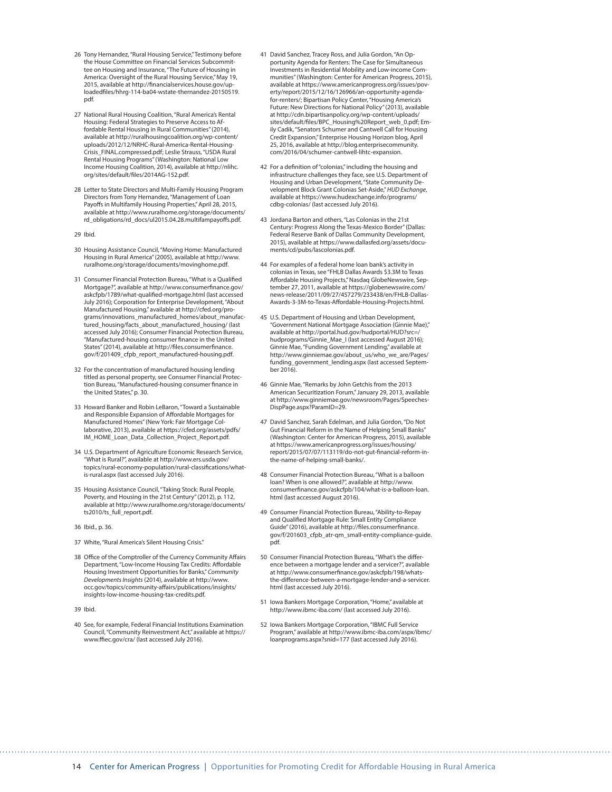- 26 Tony Hernandez, "Rural Housing Service," Testimony before the House Committee on Financial Services Subcommit-tee on Housing and Insurance, "The Future of Housing in America: Oversight of the Rural Housing Service," May 19, 2015, available at [http://financialservices.house.gov/up](http://financialservices.house.gov/uploadedfiles/hhrg-114-ba04-wstate-thernandez-20150519.pdf)[loadedfiles/hhrg-114-ba04-wstate-thernandez-20150519.](http://financialservices.house.gov/uploadedfiles/hhrg-114-ba04-wstate-thernandez-20150519.pdf) [pdf](http://financialservices.house.gov/uploadedfiles/hhrg-114-ba04-wstate-thernandez-20150519.pdf).
- 27 National Rural Housing Coalition, "Rural America's Rental Housing: Federal Strategies to Preserve Access to Affordable Rental Housing in Rural Communities" (2014), available at [http://ruralhousingcoalition.org/wp-content/](http://ruralhousingcoalition.org/wp-content/uploads/2012/12/NRHC-Rural-America-Rental-Housing-Crisis_FINAL.compressed.pdf) [uploads/2012/12/NRHC-Rural-America-Rental-Housing-](http://ruralhousingcoalition.org/wp-content/uploads/2012/12/NRHC-Rural-America-Rental-Housing-Crisis_FINAL.compressed.pdf)[Crisis\\_FINAL.compressed.pdf](http://ruralhousingcoalition.org/wp-content/uploads/2012/12/NRHC-Rural-America-Rental-Housing-Crisis_FINAL.compressed.pdf); Leslie Strauss, "USDA Rural Rental Housing Programs" (Washington: National Low Income Housing Coalition, 2014), available at [http://nlihc.](http://nlihc.org/sites/default/files/2014AG-152.pdf) [org/sites/default/files/2014AG-152.pdf](http://nlihc.org/sites/default/files/2014AG-152.pdf).
- 28 Letter to State Directors and Multi-Family Housing Program Directors from Tony Hernandez, "Management of Loan Payoffs in Multifamily Housing Properties," April 28, 2015, available at [http://www.ruralhome.org/storage/documents/](http://www.ruralhome.org/storage/documents/rd_obligations/rd_docs/ul2015.04.28.multifampayoffs.pdf) [rd\\_obligations/rd\\_docs/ul2015.04.28.multifampayoffs.pdf](http://www.ruralhome.org/storage/documents/rd_obligations/rd_docs/ul2015.04.28.multifampayoffs.pdf).
- 29 Ibid.
- 30 Housing Assistance Council, "Moving Home: Manufactured Housing in Rural America" (2005), available at [http://www.](http://www.ruralhome.org/storage/documents/movinghome.pdf) [ruralhome.org/storage/documents/movinghome.pdf.](http://www.ruralhome.org/storage/documents/movinghome.pdf)
- 31 Consumer Financial Protection Bureau, "What is a Qualified Mortgage?", available at [http://www.consumerfinance.gov/](http://www.consumerfinance.gov/askcfpb/1789/what-qualified-mortgage.html) [askcfpb/1789/what-qualified-mortgage.html](http://www.consumerfinance.gov/askcfpb/1789/what-qualified-mortgage.html) (last accessed July 2016); Corporation for Enterprise Development, "About Manufactured Housing," available at [http://cfed.org/pro](http://cfed.org/programs/innovations_manufactured_homes/about_manufactured_housing/facts_about_manufactured_housing/)[grams/innovations\\_manufactured\\_homes/about\\_manufac](http://cfed.org/programs/innovations_manufactured_homes/about_manufactured_housing/facts_about_manufactured_housing/)[tured\\_housing/facts\\_about\\_manufactured\\_housing/](http://cfed.org/programs/innovations_manufactured_homes/about_manufactured_housing/facts_about_manufactured_housing/) (last accessed July 2016); Consumer Financial Protection Bureau, "Manufactured-housing consumer finance in the United States" (2014), available at [http://files.consumerfinance.](http://files.consumerfinance.gov/f/201409_cfpb_report_manufactured-housing.pdf) [gov/f/201409\\_cfpb\\_report\\_manufactured-housing.pdf.](http://files.consumerfinance.gov/f/201409_cfpb_report_manufactured-housing.pdf)
- 32 For the concentration of manufactured housing lending titled as personal property, see Consumer Financial Protection Bureau, "Manufactured-housing consumer finance in the United States," p. 30.
- 33 Howard Banker and Robin LeBaron, "Toward a Sustainable and Responsible Expansion of Affordable Mortgages for Manufactured Homes" (New York: Fair Mortgage Collaborative, 2013), available at [https://cfed.org/assets/pdfs/](https://cfed.org/assets/pdfs/IM_HOME_Loan_Data_Collection_Project_Report.pdf) [IM\\_HOME\\_Loan\\_Data\\_Collection\\_Project\\_Report.pdf.](https://cfed.org/assets/pdfs/IM_HOME_Loan_Data_Collection_Project_Report.pdf)
- 34 U.S. Department of Agriculture Economic Research Service, "What is Rural?", available at [http://www.ers.usda.gov/](http://www.ers.usda.gov/topics/rural-economy-population/rural-classifications/what-is-rural.aspx) [topics/rural-economy-population/rural-classifications/what](http://www.ers.usda.gov/topics/rural-economy-population/rural-classifications/what-is-rural.aspx)[is-rural.aspx](http://www.ers.usda.gov/topics/rural-economy-population/rural-classifications/what-is-rural.aspx) (last accessed July 2016).
- 35 Housing Assistance Council, "Taking Stock: Rural People, Poverty, and Housing in the 21st Century" (2012), p. 112, available at [http://www.ruralhome.org/storage/documents/](http://www.ruralhome.org/storage/documents/ts2010/ts_full_report.pdf) [ts2010/ts\\_full\\_report.pdf](http://www.ruralhome.org/storage/documents/ts2010/ts_full_report.pdf).
- 36 Ibid., p. 36.
- 37 White, "Rural America's Silent Housing Crisis."
- 38 Office of the Comptroller of the Currency Community Affairs Department, "Low-Income Housing Tax Credits: Affordable Housing Investment Opportunities for Banks," *Community Developments Insights* (2014), available at [http://www.](http://www.occ.gov/topics/community-affairs/publications/insights/insights-low-income-housing-tax-credits.pdf) [occ.gov/topics/community-affairs/publications/insights/](http://www.occ.gov/topics/community-affairs/publications/insights/insights-low-income-housing-tax-credits.pdf) [insights-low-income-housing-tax-credits.pdf](http://www.occ.gov/topics/community-affairs/publications/insights/insights-low-income-housing-tax-credits.pdf).
- 39 Ibid.
- 40 See, for example, Federal Financial Institutions Examination Council, "Community Reinvestment Act," available at [https://](https://www.ffiec.gov/cra/) [www.ffiec.gov/cra/](https://www.ffiec.gov/cra/) (last accessed July 2016).
- 41 David Sanchez, Tracey Ross, and Julia Gordon, "An Opportunity Agenda for Renters: The Case for Simultaneous Investments in Residential Mobility and Low-income Communities" (Washington: Center for American Progress, 2015), available at [https://www.americanprogress.org/issues/pov](https://www.americanprogress.org/issues/poverty/report/2015/12/16/126966/an-opportunity-agenda-for-renters/)[erty/report/2015/12/16/126966/an-opportunity-agenda](https://www.americanprogress.org/issues/poverty/report/2015/12/16/126966/an-opportunity-agenda-for-renters/)[for-renters/;](https://www.americanprogress.org/issues/poverty/report/2015/12/16/126966/an-opportunity-agenda-for-renters/) Bipartisan Policy Center, "Housing America's Future: New Directions for National Policy" (2013), available at [http://cdn.bipartisanpolicy.org/wp-content/uploads/](http://cdn.bipartisanpolicy.org/wp-content/uploads/sites/default/files/BPC_Housing%20Report_web_0.pdf) [sites/default/files/BPC\\_Housing%20Report\\_web\\_0.pdf](http://cdn.bipartisanpolicy.org/wp-content/uploads/sites/default/files/BPC_Housing%20Report_web_0.pdf); Emily Cadik, "Senators Schumer and Cantwell Call for Housing Credit Expansion," Enterprise Housing Horizon blog, April 25, 2016, available at [http://blog.enterprisecommunity.](http://blog.enterprisecommunity.com/2016/04/schumer-cantwell-lihtc-expansion) [com/2016/04/schumer-cantwell-lihtc-expansion](http://blog.enterprisecommunity.com/2016/04/schumer-cantwell-lihtc-expansion).
- 42 For a definition of "colonias," including the housing and infrastructure challenges they face, see U.S. Department of Housing and Urban Development, "State Community Development Block Grant Colonias Set-Aside," *HUD Exchange*, available at [https://www.hudexchange.info/programs/](https://www.hudexchange.info/programs/cdbg-colonias/) [cdbg-colonias/](https://www.hudexchange.info/programs/cdbg-colonias/) (last accessed July 2016).
- 43 Jordana Barton and others, "Las Colonias in the 21st Century: Progress Along the Texas-Mexico Border" (Dallas: Federal Reserve Bank of Dallas Community Development, 2015), available at [https://www.dallasfed.org/assets/docu](https://www.dallasfed.org/assets/documents/cd/pubs/lascolonias.pdf)[ments/cd/pubs/lascolonias.pdf.](https://www.dallasfed.org/assets/documents/cd/pubs/lascolonias.pdf)
- 44 For examples of a federal home loan bank's activity in colonias in Texas, see "FHLB Dallas Awards \$3.3M to Texas Affordable Housing Projects," Nasdaq GlobeNewswire, September 27, 2011, available at [https://globenewswire.com/](https://globenewswire.com/news-release/2011/09/27/457279/233438/en/FHLB-Dallas-Awards-3-3M-to-Texas-Affordable-Housing-Projects.html) [news-release/2011/09/27/457279/233438/en/FHLB-Dallas-](https://globenewswire.com/news-release/2011/09/27/457279/233438/en/FHLB-Dallas-Awards-3-3M-to-Texas-Affordable-Housing-Projects.html)[Awards-3-3M-to-Texas-Affordable-Housing-Projects.html](https://globenewswire.com/news-release/2011/09/27/457279/233438/en/FHLB-Dallas-Awards-3-3M-to-Texas-Affordable-Housing-Projects.html).
- 45 U.S. Department of Housing and Urban Development, "Government National Mortgage Association (Ginnie Mae)," available at [http://portal.hud.gov/hudportal/HUD?src=/](http://portal.hud.gov/hudportal/HUD?src=/hudprograms/Ginnie_Mae_I) [hudprograms/Ginnie\\_Mae\\_I](http://portal.hud.gov/hudportal/HUD?src=/hudprograms/Ginnie_Mae_I) (last accessed August 2016); Ginnie Mae, "Funding Government Lending," available at [http://www.ginniemae.gov/about\\_us/who\\_we\\_are/Pages/](http://www.ginniemae.gov/about_us/who_we_are/Pages/funding_government_lending.aspx) [funding\\_government\\_lending.aspx](http://www.ginniemae.gov/about_us/who_we_are/Pages/funding_government_lending.aspx) (last accessed September 2016).
- 46 Ginnie Mae, "Remarks by John Getchis from the 2013 American Securitization Forum," January 29, 2013, available at [http://www.ginniemae.gov/newsroom/Pages/Speeches-](http://www.ginniemae.gov/newsroom/Pages/SpeechesDispPage.aspx?ParamID=29)[DispPage.aspx?ParamID=29](http://www.ginniemae.gov/newsroom/Pages/SpeechesDispPage.aspx?ParamID=29).
- 47 David Sanchez, Sarah Edelman, and Julia Gordon, "Do Not Gut Financial Reform in the Name of Helping Small Banks" (Washington: Center for American Progress, 2015), available at [https://www.americanprogress.org/issues/housing/](https://www.americanprogress.org/issues/housing/report/2015/07/07/113119/do-not-gut-financial-reform-in-the-name-of-helping-small-banks/) [report/2015/07/07/113119/do-not-gut-financial-reform-in](https://www.americanprogress.org/issues/housing/report/2015/07/07/113119/do-not-gut-financial-reform-in-the-name-of-helping-small-banks/)[the-name-of-helping-small-banks/.](https://www.americanprogress.org/issues/housing/report/2015/07/07/113119/do-not-gut-financial-reform-in-the-name-of-helping-small-banks/)
- 48 Consumer Financial Protection Bureau, "What is a balloon loan? When is one allowed?", available at [http://www.](http://www.consumerfinance.gov/askcfpb/104/what-is-a-balloon-loan.html) [consumerfinance.gov/askcfpb/104/what-is-a-balloon-loan.](http://www.consumerfinance.gov/askcfpb/104/what-is-a-balloon-loan.html) [html](http://www.consumerfinance.gov/askcfpb/104/what-is-a-balloon-loan.html) (last accessed August 2016).
- 49 Consumer Financial Protection Bureau, "Ability-to-Repay and Qualified Mortgage Rule: Small Entity Compliance Guide" (2016), available at [http://files.consumerfinance.](http://files.consumerfinance.gov/f/201603_cfpb_atr-qm_small-entity-compliance-guide.pdf) [gov/f/201603\\_cfpb\\_atr-qm\\_small-entity-compliance-guide.](http://files.consumerfinance.gov/f/201603_cfpb_atr-qm_small-entity-compliance-guide.pdf) [pdf](http://files.consumerfinance.gov/f/201603_cfpb_atr-qm_small-entity-compliance-guide.pdf).
- 50 Consumer Financial Protection Bureau, "What's the difference between a mortgage lender and a servicer?", available at [http://www.consumerfinance.gov/askcfpb/198/whats](http://www.consumerfinance.gov/askcfpb/198/whats-the-difference-between-a-mortgage-lender-and-a-servicer.html)[the-difference-between-a-mortgage-lender-and-a-servicer.](http://www.consumerfinance.gov/askcfpb/198/whats-the-difference-between-a-mortgage-lender-and-a-servicer.html) [html](http://www.consumerfinance.gov/askcfpb/198/whats-the-difference-between-a-mortgage-lender-and-a-servicer.html) (last accessed July 2016).
- 51 Iowa Bankers Mortgage Corporation, "Home," available at <http://www.ibmc-iba.com/>(last accessed July 2016).
- 52 Iowa Bankers Mortgage Corporation, "IBMC Full Service Program," available at [http://www.ibmc-iba.com/aspx/ibmc/](http://www.ibmc-iba.com/aspx/ibmc/loanprograms.aspx?snid=177) [loanprograms.aspx?snid=177](http://www.ibmc-iba.com/aspx/ibmc/loanprograms.aspx?snid=177) (last accessed July 2016).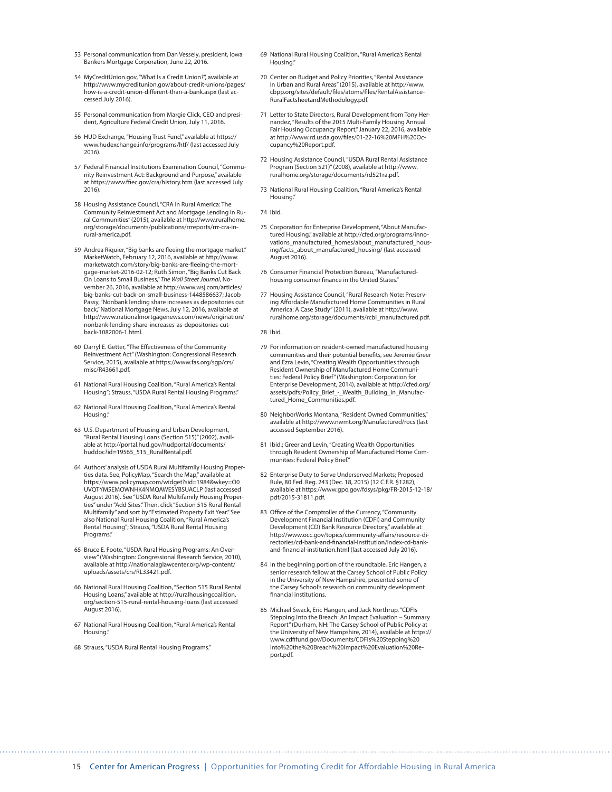- 53 Personal communication from Dan Vessely, president, Iowa Bankers Mortgage Corporation, June 22, 2016.
- 54 MyCreditUnion.gov, "What Is a Credit Union?", available at [http://www.mycreditunion.gov/about-credit-unions/pages/](http://www.mycreditunion.gov/about-credit-unions/pages/how-is-a-credit-union-different-than-a-bank.aspx) [how-is-a-credit-union-different-than-a-bank.aspx](http://www.mycreditunion.gov/about-credit-unions/pages/how-is-a-credit-union-different-than-a-bank.aspx) (last accessed July 2016).
- 55 Personal communication from Margie Click, CEO and president, Agriculture Federal Credit Union, July 11, 2016.
- 56 HUD Exchange, "Housing Trust Fund," available at [https://](https://www.hudexchange.info/programs/htf/) [www.hudexchange.info/programs/htf/](https://www.hudexchange.info/programs/htf/) (last accessed July 2016).
- 57 Federal Financial Institutions Examination Council, "Community Reinvestment Act: Background and Purpose," available at <https://www.ffiec.gov/cra/history.htm>(last accessed July 2016).
- 58 Housing Assistance Council, "CRA in Rural America: The Community Reinvestment Act and Mortgage Lending in Rural Communities" (2015), available at [http://www.ruralhome.](http://www.ruralhome.org/storage/documents/publications/rrreports/rrr-cra-in-rural-america.pdf) [org/storage/documents/publications/rrreports/rrr-cra-in](http://www.ruralhome.org/storage/documents/publications/rrreports/rrr-cra-in-rural-america.pdf)[rural-america.pdf](http://www.ruralhome.org/storage/documents/publications/rrreports/rrr-cra-in-rural-america.pdf).
- 59 Andrea Riquier, "Big banks are fleeing the mortgage market," MarketWatch, February 12, 2016, available at [http://www.](http://www.marketwatch.com/story/big-banks-are-fleeing-the-mortgage-market-2016-02-12) [marketwatch.com/story/big-banks-are-fleeing-the-mort](http://www.marketwatch.com/story/big-banks-are-fleeing-the-mortgage-market-2016-02-12)[gage-market-2016-02-12;](http://www.marketwatch.com/story/big-banks-are-fleeing-the-mortgage-market-2016-02-12) Ruth Simon, "Big Banks Cut Back On Loans to Small Business," *The Wall Street Journal*, November 26, 2016, available at [http://www.wsj.com/articles/](http://www.wsj.com/articles/big-banks-cut-back-on-small-business-1448586637) [big-banks-cut-back-on-small-business-1448586637;](http://www.wsj.com/articles/big-banks-cut-back-on-small-business-1448586637) Jacob Passy, "Nonbank lending share increases as depositories cut back," National Mortgage News, July 12, 2016, available at [http://www.nationalmortgagenews.com/news/origination/](http://www.nationalmortgagenews.com/news/origination/nonbank-lending-share-increases-as-depositories-cut-back-1082006-1.html) [nonbank-lending-share-increases-as-depositories-cut](http://www.nationalmortgagenews.com/news/origination/nonbank-lending-share-increases-as-depositories-cut-back-1082006-1.html)[back-1082006-1.html](http://www.nationalmortgagenews.com/news/origination/nonbank-lending-share-increases-as-depositories-cut-back-1082006-1.html).
- 60 Darryl E. Getter, "The Effectiveness of the Community Reinvestment Act" (Washington: Congressional Research Service, 2015), available at [https://www.fas.org/sgp/crs/](https://www.fas.org/sgp/crs/misc/R43661.pdf) [misc/R43661.pdf](https://www.fas.org/sgp/crs/misc/R43661.pdf).
- 61 National Rural Housing Coalition, "Rural America's Rental Housing"; Strauss, "USDA Rural Rental Housing Programs."
- 62 National Rural Housing Coalition, "Rural America's Rental Housing."
- 63 U.S. Department of Housing and Urban Development, "Rural Rental Housing Loans (Section 515)" (2002), available at [http://portal.hud.gov/hudportal/documents/](http://portal.hud.gov/hudportal/documents/huddoc?id=19565_515_RuralRental.pdf) [huddoc?id=19565\\_515\\_RuralRental.pdf](http://portal.hud.gov/hudportal/documents/huddoc?id=19565_515_RuralRental.pdf).
- 64 Authors' analysis of USDA Rural Multifamily Housing Properties data. See, PolicyMap, "Search the Map," available at [https://www.policymap.com/widget?sid=1984&wkey=O0](https://www.policymap.com/widget?sid=1984&wkey=O0UVQTYM5EMOWNHK4NMQAWESYBSUACLP) [UVQTYM5EMOWNHK4NMQAWESYBSUACLP](https://www.policymap.com/widget?sid=1984&wkey=O0UVQTYM5EMOWNHK4NMQAWESYBSUACLP) (last accessed August 2016). See "USDA Rural Multifamily Housing Properties" under "Add Sites." Then, click "Section 515 Rural Rental Multifamily" and sort by "Estimated Property Exit Year." See also National Rural Housing Coalition, "Rural America's Rental Housing"; Strauss, "USDA Rural Rental Housing Programs."
- 65 Bruce E. Foote, "USDA Rural Housing Programs: An Overview" (Washington: Congressional Research Service, 2010), available at [http://nationalaglawcenter.org/wp-content/](http://nationalaglawcenter.org/wp-content/uploads/assets/crs/RL33421.pdf) [uploads/assets/crs/RL33421.pdf.](http://nationalaglawcenter.org/wp-content/uploads/assets/crs/RL33421.pdf)
- 66 National Rural Housing Coalition, "Section 515 Rural Rental Housing Loans," available at [http://ruralhousingcoalition.](http://ruralhousingcoalition.org/section-515-rural-rental-housing-loans) [org/section-515-rural-rental-housing-loans](http://ruralhousingcoalition.org/section-515-rural-rental-housing-loans) (last accessed August 2016).
- 67 National Rural Housing Coalition, "Rural America's Rental Housing."
- 68 Strauss, "USDA Rural Rental Housing Programs."
- 69 National Rural Housing Coalition, "Rural America's Rental Housing."
- 70 Center on Budget and Policy Priorities, "Rental Assistance in Urban and Rural Areas" (2015), available at [http://www.](http://www.cbpp.org/sites/default/files/atoms/files/RentalAssistance-RuralFactsheetandMethodology.pdf) [cbpp.org/sites/default/files/atoms/files/RentalAssistance-](http://www.cbpp.org/sites/default/files/atoms/files/RentalAssistance-RuralFactsheetandMethodology.pdf)[RuralFactsheetandMethodology.pdf.](http://www.cbpp.org/sites/default/files/atoms/files/RentalAssistance-RuralFactsheetandMethodology.pdf)
- 71 Letter to State Directors, Rural Development from Tony Hernandez, "Results of the 2015 Multi-Family Housing Annual Fair Housing Occupancy Report," January 22, 2016, available at [http://www.rd.usda.gov/files/01-22-16%20MFH%20Oc](http://www.rd.usda.gov/files/01-22-16%20MFH%20Occupancy%20Report.pdf)[cupancy%20Report.pdf.](http://www.rd.usda.gov/files/01-22-16%20MFH%20Occupancy%20Report.pdf)
- 72 Housing Assistance Council, "USDA Rural Rental Assistance Program (Section 521)" (2008), available at [http://www.](http://www.ruralhome.org/storage/documents/rd521ra.pdf) [ruralhome.org/storage/documents/rd521ra.pdf](http://www.ruralhome.org/storage/documents/rd521ra.pdf).
- 73 National Rural Housing Coalition, "Rural America's Rental Housing."
- 74 Ibid.
- 75 Corporation for Enterprise Development, "About Manufactured Housing," available at [http://cfed.org/programs/inno](http://cfed.org/programs/innovations_manufactured_homes/about_manufactured_housing/facts_about_manufactured_housing/)[vations\\_manufactured\\_homes/about\\_manufactured\\_hous](http://cfed.org/programs/innovations_manufactured_homes/about_manufactured_housing/facts_about_manufactured_housing/)[ing/facts\\_about\\_manufactured\\_housing/](http://cfed.org/programs/innovations_manufactured_homes/about_manufactured_housing/facts_about_manufactured_housing/) (last accessed August 2016).
- 76 Consumer Financial Protection Bureau, "Manufacturedhousing consumer finance in the United States."
- 77 Housing Assistance Council, "Rural Research Note: Preserving Affordable Manufactured Home Communities in Rural America: A Case Study" (2011), available at [http://www.](http://www.ruralhome.org/storage/documents/rcbi_manufactured.pdf) [ruralhome.org/storage/documents/rcbi\\_manufactured.pdf](http://www.ruralhome.org/storage/documents/rcbi_manufactured.pdf).
- 78 Ibid.
- 79 For information on resident-owned manufactured housing communities and their potential benefits, see Jeremie Greer and Ezra Levin, "Creating Wealth Opportunities through Resident Ownership of Manufactured Home Communities: Federal Policy Brief" (Washington: Corporation for Enterprise Development, 2014), available at [http://cfed.org/](http://cfed.org/assets/pdfs/Policy_Brief_-_Wealth_Building_in_Manufactured_Home_Communities.pdf) [assets/pdfs/Policy\\_Brief\\_-\\_Wealth\\_Building\\_in\\_Manufac](http://cfed.org/assets/pdfs/Policy_Brief_-_Wealth_Building_in_Manufactured_Home_Communities.pdf)tured Home Communities.pdf.
- 80 NeighborWorks Montana, "Resident Owned Communities," available at<http://www.nwmt.org/Manufactured/rocs>(last accessed September 2016).
- 81 Ibid.; Greer and Levin, "Creating Wealth Opportunities through Resident Ownership of Manufactured Home Communities: Federal Policy Brief."
- 82 Enterprise Duty to Serve Underserved Markets; Proposed Rule, 80 Fed. Reg. 243 (Dec. 18, 2015) (12 C.F.R. §1282), available at [https://www.gpo.gov/fdsys/pkg/FR-2015-12-18/](https://www.gpo.gov/fdsys/pkg/FR-2015-12-18/pdf/2015-31811.pdf) [pdf/2015-31811.pdf](https://www.gpo.gov/fdsys/pkg/FR-2015-12-18/pdf/2015-31811.pdf).
- 83 Office of the Comptroller of the Currency, "Community Development Financial Institution (CDFI) and Community Development (CD) Bank Resource Directory," available at [http://www.occ.gov/topics/community-affairs/resource-di](http://www.occ.gov/topics/community-affairs/resource-directories/cd-bank-and-financial-institution/index-cd-bank-and-financial-institution.html)[rectories/cd-bank-and-financial-institution/index-cd-bank](http://www.occ.gov/topics/community-affairs/resource-directories/cd-bank-and-financial-institution/index-cd-bank-and-financial-institution.html)[and-financial-institution.html](http://www.occ.gov/topics/community-affairs/resource-directories/cd-bank-and-financial-institution/index-cd-bank-and-financial-institution.html) (last accessed July 2016).
- 84 In the beginning portion of the roundtable, Eric Hangen, a senior research fellow at the Carsey School of Public Policy in the University of New Hampshire, presented some of the Carsey School's research on community development financial institutions.
- 85 Michael Swack, Eric Hangen, and Jack Northrup, "CDFIs Stepping Into the Breach: An Impact Evaluation – Summary Report" (Durham, NH: The Carsey School of Public Policy at the University of New Hampshire, 2014), available at [https://](https://www.cdfifund.gov/Documents/CDFIs%20Stepping%20into%20the%20Breach%20Impact%20Evaluation%20Report.pdf) [www.cdfifund.gov/Documents/CDFIs%20Stepping%20](https://www.cdfifund.gov/Documents/CDFIs%20Stepping%20into%20the%20Breach%20Impact%20Evaluation%20Report.pdf) [into%20the%20Breach%20Impact%20Evaluation%20Re](https://www.cdfifund.gov/Documents/CDFIs%20Stepping%20into%20the%20Breach%20Impact%20Evaluation%20Report.pdf)[port.pdf](https://www.cdfifund.gov/Documents/CDFIs%20Stepping%20into%20the%20Breach%20Impact%20Evaluation%20Report.pdf).